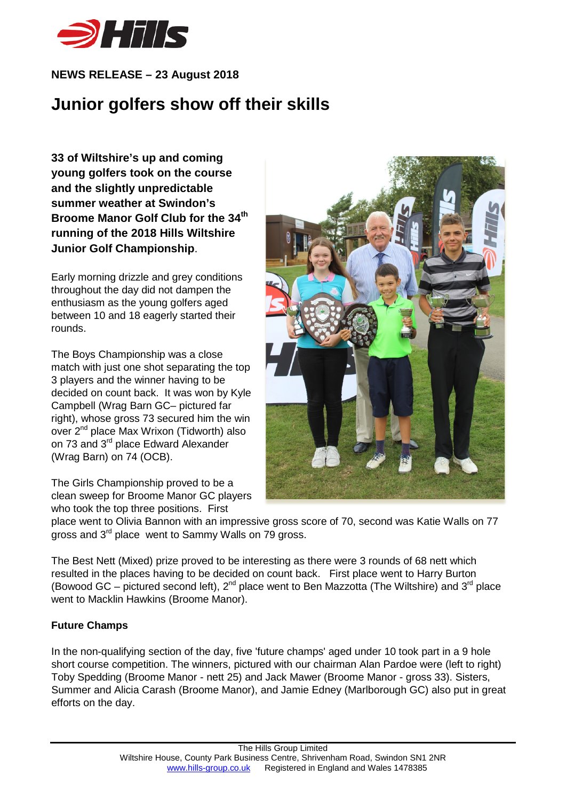

## **NEWS RELEASE – 23 August 2018**

## **Junior golfers show off their skills**

**33 of Wiltshire's up and coming young golfers took on the course and the slightly unpredictable summer weather at Swindon's Broome Manor Golf Club for the 34th running of the 2018 Hills Wiltshire Junior Golf Championship**.

Early morning drizzle and grey conditions throughout the day did not dampen the enthusiasm as the young golfers aged between 10 and 18 eagerly started their rounds.

The Boys Championship was a close match with just one shot separating the top 3 players and the winner having to be decided on count back. It was won by Kyle Campbell (Wrag Barn GC– pictured far right), whose gross 73 secured him the win over 2<sup>nd</sup> place Max Wrixon (Tidworth) also on 73 and 3<sup>rd</sup> place Edward Alexander (Wrag Barn) on 74 (OCB).

The Girls Championship proved to be a clean sweep for Broome Manor GC players who took the top three positions. First



place went to Olivia Bannon with an impressive gross score of 70, second was Katie Walls on 77 gross and 3<sup>rd</sup> place went to Sammy Walls on 79 gross.

The Best Nett (Mixed) prize proved to be interesting as there were 3 rounds of 68 nett which resulted in the places having to be decided on count back. First place went to Harry Burton (Bowood GC – pictured second left),  $2^{nd}$  place went to Ben Mazzotta (The Wiltshire) and  $3^{rd}$  place went to Macklin Hawkins (Broome Manor).

## **Future Champs**

In the non-qualifying section of the day, five 'future champs' aged under 10 took part in a 9 hole short course competition. The winners, pictured with our chairman Alan Pardoe were (left to right) Toby Spedding (Broome Manor - nett 25) and Jack Mawer (Broome Manor - gross 33). Sisters, Summer and Alicia Carash (Broome Manor), and Jamie Edney (Marlborough GC) also put in great efforts on the day.